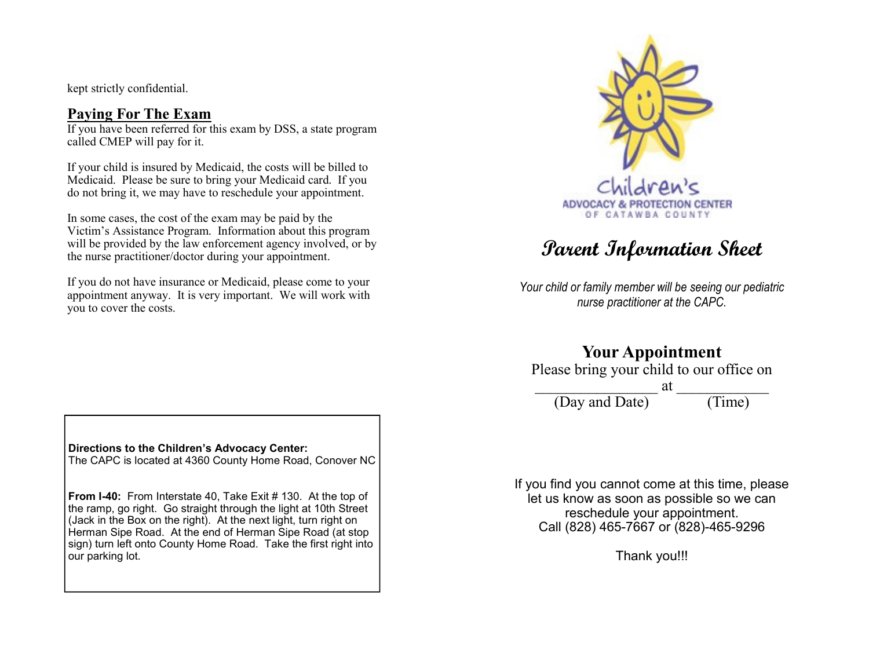kept strictly confidential.

## Paying For The Exam

If you have been referred for this exam by DSS, a state program called CMEP will pay for it.

If your child is insured by Medicaid, the costs will be billed to Medicaid. Please be sure to bring your Medicaid card. If you do not bring it, we may have to reschedule your appointment.

In some cases, the cost of the exam may be paid by the Victim's Assistance Program. Information about this program will be provided by the law enforcement agency involved, or by the nurse practitioner/doctor during your appointment.

If you do not have insurance or Medicaid, please come to your appointment anyway. It is very important. We will work with you to cover the costs.



# Parent Information Sheet

Your child or family member will be seeing our pediatric nurse practitioner at the CAPC.

# Your Appointment

Please bring your child to our office on

 $\overline{\text{at}}$ (Day and Date) (Time)

If you find you cannot come at this time, please let us know as soon as possible so we can reschedule your appointment. Call (828) 465-7667 or (828)-465-9296

Thank you!!!

Directions to the Children's Advocacy Center: The CAPC is located at 4360 County Home Road, Conover NC

From I-40: From Interstate 40, Take Exit # 130. At the top of the ramp, go right. Go straight through the light at 10th Street (Jack in the Box on the right). At the next light, turn right on Herman Sipe Road. At the end of Herman Sipe Road (at stop sign) turn left onto County Home Road. Take the first right into our parking lot.